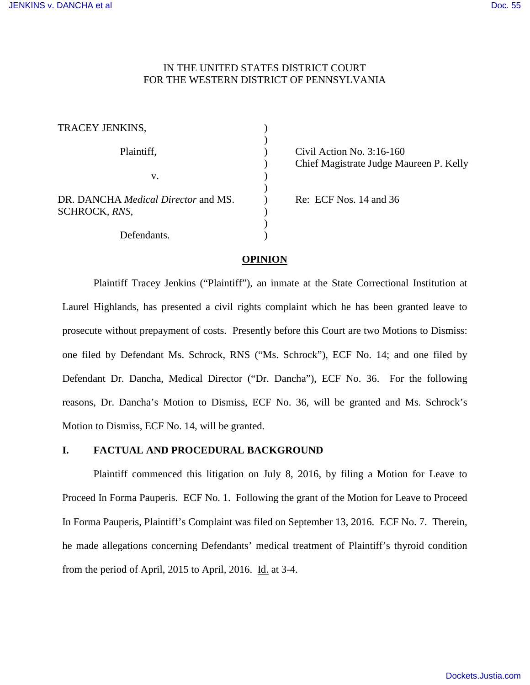# IN THE UNITED STATES DISTRICT COURT FOR THE WESTERN DISTRICT OF PENNSYLVANIA

| TRACEY JENKINS,                                             |  |
|-------------------------------------------------------------|--|
| Plaintiff,                                                  |  |
| v.                                                          |  |
| DR. DANCHA <i>Medical Director</i> and MS.<br>SCHROCK, RNS, |  |
| Defendants.                                                 |  |

Civil Action No. 3:16-160 Chief Magistrate Judge Maureen P. Kelly

Re: ECF Nos. 14 and 36

# **OPINION**

Plaintiff Tracey Jenkins ("Plaintiff"), an inmate at the State Correctional Institution at Laurel Highlands, has presented a civil rights complaint which he has been granted leave to prosecute without prepayment of costs. Presently before this Court are two Motions to Dismiss: one filed by Defendant Ms. Schrock, RNS ("Ms. Schrock"), ECF No. 14; and one filed by Defendant Dr. Dancha, Medical Director ("Dr. Dancha"), ECF No. 36. For the following reasons, Dr. Dancha's Motion to Dismiss, ECF No. 36, will be granted and Ms. Schrock's Motion to Dismiss, ECF No. 14, will be granted.

### **I. FACTUAL AND PROCEDURAL BACKGROUND**

Plaintiff commenced this litigation on July 8, 2016, by filing a Motion for Leave to Proceed In Forma Pauperis. ECF No. 1. Following the grant of the Motion for Leave to Proceed In Forma Pauperis, Plaintiff's Complaint was filed on September 13, 2016. ECF No. 7. Therein, he made allegations concerning Defendants' medical treatment of Plaintiff's thyroid condition from the period of April, 2015 to April, 2016. Id. at 3-4.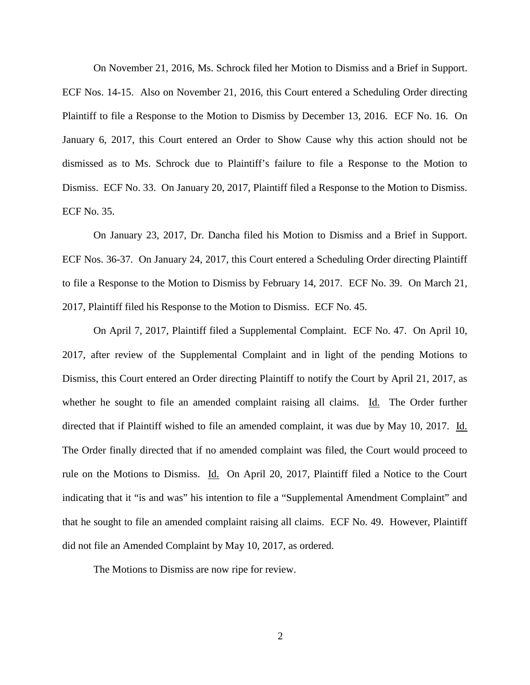On November 21, 2016, Ms. Schrock filed her Motion to Dismiss and a Brief in Support. ECF Nos. 14-15. Also on November 21, 2016, this Court entered a Scheduling Order directing Plaintiff to file a Response to the Motion to Dismiss by December 13, 2016. ECF No. 16. On January 6, 2017, this Court entered an Order to Show Cause why this action should not be dismissed as to Ms. Schrock due to Plaintiff's failure to file a Response to the Motion to Dismiss. ECF No. 33. On January 20, 2017, Plaintiff filed a Response to the Motion to Dismiss. ECF No. 35.

On January 23, 2017, Dr. Dancha filed his Motion to Dismiss and a Brief in Support. ECF Nos. 36-37. On January 24, 2017, this Court entered a Scheduling Order directing Plaintiff to file a Response to the Motion to Dismiss by February 14, 2017. ECF No. 39. On March 21, 2017, Plaintiff filed his Response to the Motion to Dismiss. ECF No. 45.

On April 7, 2017, Plaintiff filed a Supplemental Complaint. ECF No. 47. On April 10, 2017, after review of the Supplemental Complaint and in light of the pending Motions to Dismiss, this Court entered an Order directing Plaintiff to notify the Court by April 21, 2017, as whether he sought to file an amended complaint raising all claims. Id. The Order further directed that if Plaintiff wished to file an amended complaint, it was due by May 10, 2017. Id. The Order finally directed that if no amended complaint was filed, the Court would proceed to rule on the Motions to Dismiss. Id. On April 20, 2017, Plaintiff filed a Notice to the Court indicating that it "is and was" his intention to file a "Supplemental Amendment Complaint" and that he sought to file an amended complaint raising all claims. ECF No. 49. However, Plaintiff did not file an Amended Complaint by May 10, 2017, as ordered.

The Motions to Dismiss are now ripe for review.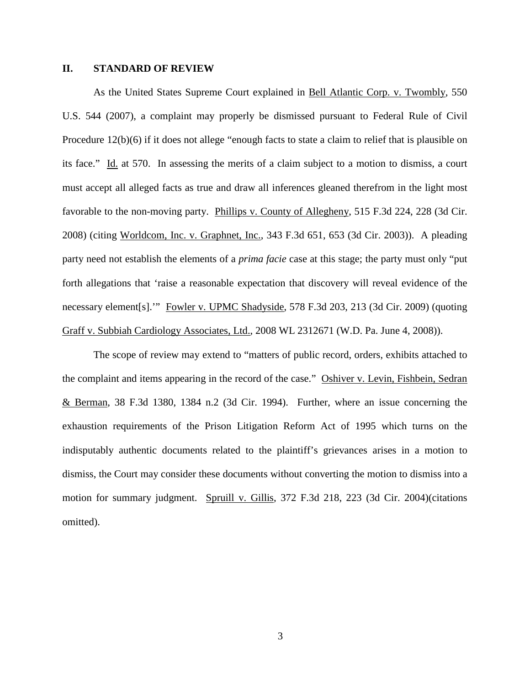## **II. STANDARD OF REVIEW**

As the United States Supreme Court explained in Bell Atlantic Corp. v. Twombly, 550 U.S. 544 (2007), a complaint may properly be dismissed pursuant to Federal Rule of Civil Procedure 12(b)(6) if it does not allege "enough facts to state a claim to relief that is plausible on its face." Id. at 570. In assessing the merits of a claim subject to a motion to dismiss, a court must accept all alleged facts as true and draw all inferences gleaned therefrom in the light most favorable to the non-moving party. Phillips v. County of Allegheny, 515 F.3d 224, 228 (3d Cir. 2008) (citing Worldcom, Inc. v. Graphnet, Inc., 343 F.3d 651, 653 (3d Cir. 2003)). A pleading party need not establish the elements of a *prima facie* case at this stage; the party must only "put forth allegations that 'raise a reasonable expectation that discovery will reveal evidence of the necessary element[s].'" Fowler v. UPMC Shadyside, 578 F.3d 203, 213 (3d Cir. 2009) (quoting Graff v. Subbiah Cardiology Associates, Ltd., 2008 WL 2312671 (W.D. Pa. June 4, 2008)).

The scope of review may extend to "matters of public record, orders, exhibits attached to the complaint and items appearing in the record of the case." Oshiver v. Levin, Fishbein, Sedran & Berman, 38 F.3d 1380, 1384 n.2 (3d Cir. 1994). Further, where an issue concerning the exhaustion requirements of the Prison Litigation Reform Act of 1995 which turns on the indisputably authentic documents related to the plaintiff's grievances arises in a motion to dismiss, the Court may consider these documents without converting the motion to dismiss into a motion for summary judgment. Spruill v. Gillis, 372 F.3d 218, 223 (3d Cir. 2004)(citations omitted).

3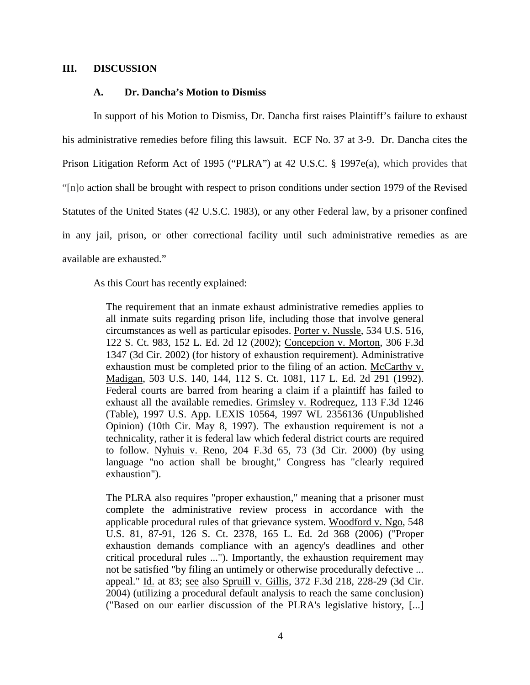### **III. DISCUSSION**

#### **A. Dr. Dancha's Motion to Dismiss**

In support of his Motion to Dismiss, Dr. Dancha first raises Plaintiff's failure to exhaust his administrative remedies before filing this lawsuit. ECF No. 37 at 3-9. Dr. Dancha cites the Prison Litigation Reform Act of 1995 ("PLRA") at 42 U.S.C. § 1997e(a), which provides that "[n]o action shall be brought with respect to prison conditions under section 1979 of the Revised Statutes of the United States (42 U.S.C. 1983), or any other Federal law, by a prisoner confined in any jail, prison, or other correctional facility until such administrative remedies as are available are exhausted."

As this Court has recently explained:

The requirement that an inmate exhaust administrative remedies applies to all inmate suits regarding prison life, including those that involve general circumstances as well as particular episodes. Porter v. Nussle, 534 U.S. 516, 122 S. Ct. 983, 152 L. Ed. 2d 12 (2002); Concepcion v. Morton, 306 F.3d 1347 (3d Cir. 2002) (for history of exhaustion requirement). Administrative exhaustion must be completed prior to the filing of an action. McCarthy v. Madigan, 503 U.S. 140, 144, 112 S. Ct. 1081, 117 L. Ed. 2d 291 (1992). Federal courts are barred from hearing a claim if a plaintiff has failed to exhaust all the available remedies. Grimsley v. Rodrequez, 113 F.3d 1246 (Table), 1997 U.S. App. LEXIS 10564, 1997 WL 2356136 (Unpublished Opinion) (10th Cir. May 8, 1997). The exhaustion requirement is not a technicality, rather it is federal law which federal district courts are required to follow. Nyhuis v. Reno, 204 F.3d 65, 73 (3d Cir. 2000) (by using language "no action shall be brought," Congress has "clearly required exhaustion").

The PLRA also requires "proper exhaustion," meaning that a prisoner must complete the administrative review process in accordance with the applicable procedural rules of that grievance system. Woodford v. Ngo, 548 U.S. 81, 87-91, 126 S. Ct. 2378, 165 L. Ed. 2d 368 (2006) ("Proper exhaustion demands compliance with an agency's deadlines and other critical procedural rules ..."). Importantly, the exhaustion requirement may not be satisfied "by filing an untimely or otherwise procedurally defective ... appeal." Id. at 83; see also Spruill v. Gillis, 372 F.3d 218, 228-29 (3d Cir. 2004) (utilizing a procedural default analysis to reach the same conclusion) ("Based on our earlier discussion of the PLRA's legislative history, [...]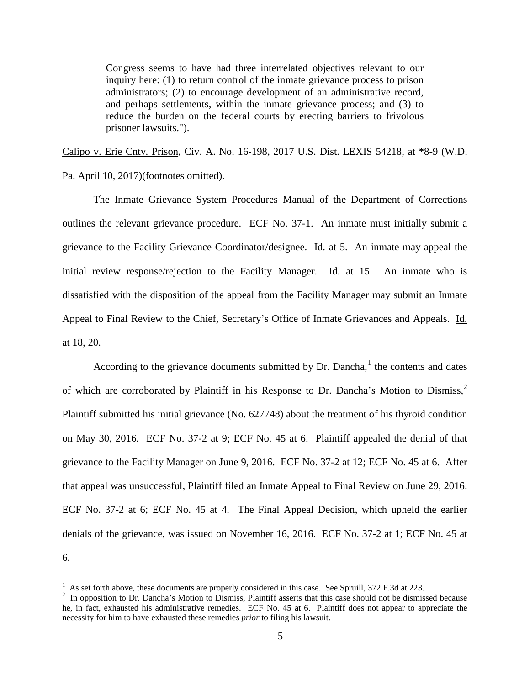Congress seems to have had three interrelated objectives relevant to our inquiry here: (1) to return control of the inmate grievance process to prison administrators; (2) to encourage development of an administrative record, and perhaps settlements, within the inmate grievance process; and (3) to reduce the burden on the federal courts by erecting barriers to frivolous prisoner lawsuits.").

Calipo v. Erie Cnty. Prison, Civ. A. No. 16-198, 2017 U.S. Dist. LEXIS 54218, at \*8-9 (W.D. Pa. April 10, 2017)(footnotes omitted).

The Inmate Grievance System Procedures Manual of the Department of Corrections outlines the relevant grievance procedure. ECF No. 37-1. An inmate must initially submit a grievance to the Facility Grievance Coordinator/designee. Id. at 5. An inmate may appeal the initial review response/rejection to the Facility Manager. Id. at 15. An inmate who is dissatisfied with the disposition of the appeal from the Facility Manager may submit an Inmate Appeal to Final Review to the Chief, Secretary's Office of Inmate Grievances and Appeals. Id. at 18, 20.

According to the grievance documents submitted by Dr. Dancha, $<sup>1</sup>$  $<sup>1</sup>$  $<sup>1</sup>$  the contents and dates</sup> of which are corroborated by Plaintiff in his Response to Dr. Dancha's Motion to Dismiss,<sup>[2](#page-4-1)</sup> Plaintiff submitted his initial grievance (No. 627748) about the treatment of his thyroid condition on May 30, 2016. ECF No. 37-2 at 9; ECF No. 45 at 6. Plaintiff appealed the denial of that grievance to the Facility Manager on June 9, 2016. ECF No. 37-2 at 12; ECF No. 45 at 6. After that appeal was unsuccessful, Plaintiff filed an Inmate Appeal to Final Review on June 29, 2016. ECF No. 37-2 at 6; ECF No. 45 at 4. The Final Appeal Decision, which upheld the earlier denials of the grievance, was issued on November 16, 2016. ECF No. 37-2 at 1; ECF No. 45 at 6.

<sup>&</sup>lt;sup>1</sup> As set forth above, these documents are properly considered in this case. <u>See Spruill</u>, 372 F.3d at 223.

<span id="page-4-1"></span><span id="page-4-0"></span> $2\;\;$  In opposition to Dr. Dancha's Motion to Dismiss, Plaintiff asserts that this case should not be dismissed because he, in fact, exhausted his administrative remedies. ECF No. 45 at 6. Plaintiff does not appear to appreciate the necessity for him to have exhausted these remedies *prior* to filing his lawsuit.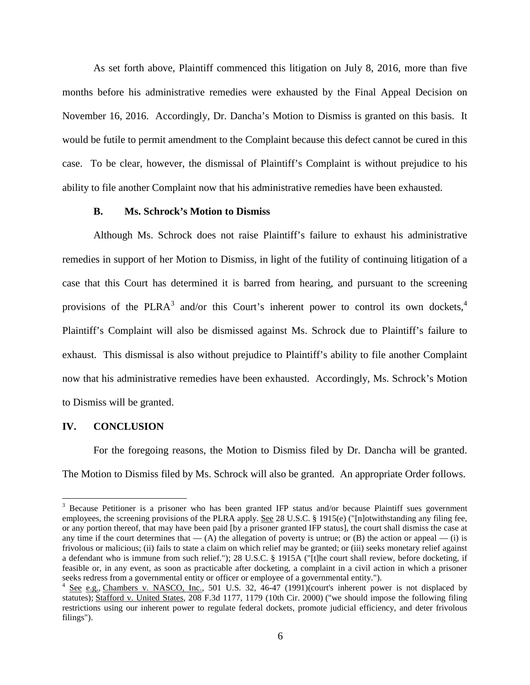As set forth above, Plaintiff commenced this litigation on July 8, 2016, more than five months before his administrative remedies were exhausted by the Final Appeal Decision on November 16, 2016. Accordingly, Dr. Dancha's Motion to Dismiss is granted on this basis. It would be futile to permit amendment to the Complaint because this defect cannot be cured in this case. To be clear, however, the dismissal of Plaintiff's Complaint is without prejudice to his ability to file another Complaint now that his administrative remedies have been exhausted.

#### **B. Ms. Schrock's Motion to Dismiss**

Although Ms. Schrock does not raise Plaintiff's failure to exhaust his administrative remedies in support of her Motion to Dismiss, in light of the futility of continuing litigation of a case that this Court has determined it is barred from hearing, and pursuant to the screening provisions of the PLRA<sup>[3](#page-5-0)</sup> and/or this Court's inherent power to control its own dockets,<sup>[4](#page-5-1)</sup> Plaintiff's Complaint will also be dismissed against Ms. Schrock due to Plaintiff's failure to exhaust. This dismissal is also without prejudice to Plaintiff's ability to file another Complaint now that his administrative remedies have been exhausted. Accordingly, Ms. Schrock's Motion to Dismiss will be granted.

#### **IV. CONCLUSION**

 $\overline{a}$ 

For the foregoing reasons, the Motion to Dismiss filed by Dr. Dancha will be granted. The Motion to Dismiss filed by Ms. Schrock will also be granted. An appropriate Order follows.

<span id="page-5-0"></span><sup>&</sup>lt;sup>3</sup> Because Petitioner is a prisoner who has been granted IFP status and/or because Plaintiff sues government employees, the screening provisions of the PLRA apply. See 28 U.S.C. § 1915(e) ("[n]otwithstanding any filing fee, or any portion thereof, that may have been paid [by a prisoner granted IFP status], the court shall dismiss the case at any time if the court determines that  $-$  (A) the allegation of poverty is untrue; or (B) the action or appeal  $-$  (i) is frivolous or malicious; (ii) fails to state a claim on which relief may be granted; or (iii) seeks monetary relief against a defendant who is immune from such relief."); 28 U.S.C. § 1915A ("[t]he court shall review, before docketing, if feasible or, in any event, as soon as practicable after docketing, a complaint in a civil action in which a prisoner seeks redress from a governmental entity or officer or employee of a governmental entity.").

<span id="page-5-1"></span><sup>&</sup>lt;sup>4</sup> See e.g., Chambers v. NASCO, Inc., 501 U.S. 32, 46-47 (1991)(court's inherent power is not displaced by statutes); Stafford v. United States, 208 F.3d 1177, 1179 (10th Cir. 2000) ("we should impose the following filing restrictions using our inherent power to regulate federal dockets, promote judicial efficiency, and deter frivolous filings").